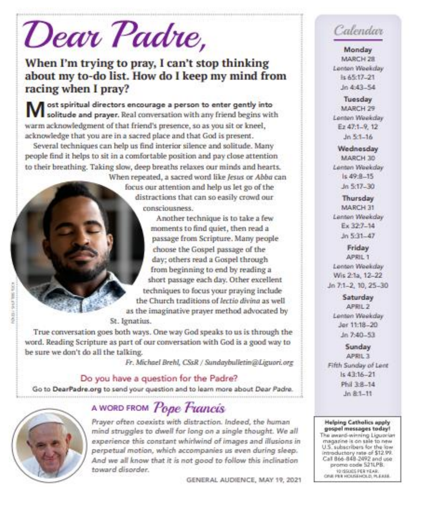# Dear Padre,

# When I'm trying to pray, I can't stop thinking about my to-do list. How do I keep my mind from racing when I pray?

ost spiritual directors encourage a person to enter gently into solitude and prayer. Real conversation with any friend begins with warm acknowledgment of that friend's presence, so as you sit or kneel, acknowledge that you are in a sacred place and that God is present.

Several techniques can help us find interior silence and solitude. Many people find it helps to sit in a comfortable position and pay close attention to their breathing. Taking slow, deep breaths relaxes our minds and hearts.

> When repeated, a sacred word like Jesus or Abba can focus our attention and help us let go of the distractions that can so easily crowd our consciousness

Another technique is to take a few moments to find quiet, then read a passage from Scripture. Many people choose the Gospel passage of the day; others read a Gospel through from beginning to end by reading a short passage each day. Other excellent techniques to focus your praying include the Church traditions of lectio divina as well as the imaginative prayer method advocated by

St. Ignatius.

True conversation goes both ways. One way God speaks to us is through the word. Reading Scripture as part of our conversation with God is a good way to be sure we don't do all the talking.

Fr. Michael Brehl, CSsR / Sundaybulletin@Liguori.org

#### Do you have a question for the Padre?

Go to DearPadre.org to send your question and to learn more about Dear Padre.



# A WORD FROM Pope Francis

Prayer often coexists with distraction. Indeed, the human mind struggles to dwell for long on a single thought. We all experience this constant whirlwind of images and illusions in perpetual motion, which accompanies us even during sleep. And we all know that it is not good to follow this inclination toward disorder.

GENERAL AUDIENCE, MAY 19, 2021

# Calendar

Monday MARCH 28 Lenten Weekday ls 65:17-21  $10.443 - 54$ 

Tuesday MARCH 29 Lenten Weekday Ez 47:1-9, 12  $Jn - 16$ 

Wednesday MARCH 30 Lenten Weekday  $1s$  49:8-15  $Jn$  5:17-30

Thursday MARCH 31 Lanton Weekday  $Ex 327 - 14$ Jn 5:31-47

Friday APRIL 1 Lenten Weekday Wis 2:1a, 12-22 Jn 7:1-2, 10, 25-30

> Saturday APRIL 2 Lenten Weekday Jer 11:18-20  $Jn$  7:40-53

Sunday APRIL 3 Fifth Sunday of Lent  $Is 43:16 - 21$ Phil 3:8-14  $Jn$ 8:1-11

#### **Helping Catholics apply** gospel messages today! The award-winning Liguorian magazine is on sale to new U.S. subscribers for the low introductory rate of \$12.99. Call 866-848-2492 and use promo code 521LPB.

1015SUES PER YEAR. ONE PER HOUSEHOLD, PLEASE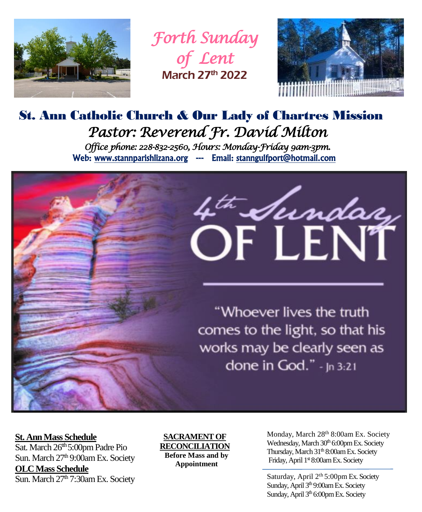

*Forth Sunday of Lent*  March 27th 2022



# St. Ann Catholic Church & Our Lady of Chartres Mission *Pastor: Reverend Fr. David Milton Office phone: 228-832-2560, Hours: Monday-Friday 9am-3pm.*  Web: www.stannparishlizana.org --- Email: stanngulfport@hotmail.com



"Whoever lives the truth comes to the light, so that his works may be clearly seen as done in God." - Jn 3:21

#### **St. Ann Mass Schedule**

Sat. March 26<sup>th</sup> 5:00pm Padre Pio Sun. March 27<sup>th</sup> 9:00am Ex. Society **OLCMass Schedule** Sun. March  $27<sup>th</sup>$  7:30am Ex. Society

#### **SACRAMENT OF RECONCILIATION**

**Before Mass and by Appointment**

Monday, March 28<sup>th</sup> 8:00am Ex. Society Wednesday, March 30<sup>th</sup> 6:00pm Ex. Society Thursday, March 31<sup>th</sup> 8:00am Ex. Society Friday, April 1st 8:00am Ex. Society

Saturday, April 2<sup>th</sup> 5:00pm Ex. Society Sunday, April 3<sup>th</sup> 9:00am Ex. Society Sunday, April 3<sup>th</sup> 6:00pm Ex. Society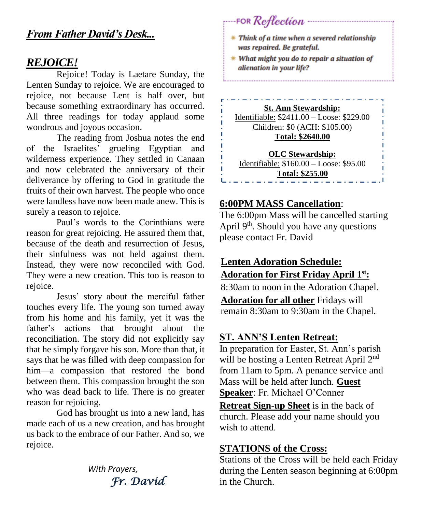# *From Father David's Desk...*

### *REJOICE!*

Rejoice! Today is Laetare Sunday, the Lenten Sunday to rejoice. We are encouraged to rejoice, not because Lent is half over, but because something extraordinary has occurred. All three readings for today applaud some wondrous and joyous occasion.

The reading from Joshua notes the end of the Israelites' grueling Egyptian and wilderness experience. They settled in Canaan and now celebrated the anniversary of their deliverance by offering to God in gratitude the fruits of their own harvest. The people who once were landless have now been made anew. This is surely a reason to rejoice.

Paul's words to the Corinthians were reason for great rejoicing. He assured them that, because of the death and resurrection of Jesus, their sinfulness was not held against them. Instead, they were now reconciled with God. They were a new creation. This too is reason to rejoice.

Jesus' story about the merciful father touches every life. The young son turned away from his home and his family, yet it was the father's actions that brought about the reconciliation. The story did not explicitly say that he simply forgave his son. More than that, it says that he was filled with deep compassion for him—a compassion that restored the bond between them. This compassion brought the son who was dead back to life. There is no greater reason for rejoicing.

God has brought us into a new land, has made each of us a new creation, and has brought us back to the embrace of our Father. And so, we rejoice.

> *With Prayers, Fr. David*

\* Think of a time when a severed relationship was repaired. Be grateful.

FOR Reflection

\* What might you do to repair a situation of alienation in your life?

**St. Ann Stewardship:**

Identifiable: \$2411.00 – Loose: \$229.00 Children: \$0 (ACH: \$105.00) **Total: \$2640.00**

**OLC Stewardship:** Identifiable: \$160.00 – Loose: \$95.00 **Total: \$255.00**

#### **6:00PM MASS Cancellation**:

The 6:00pm Mass will be cancelled starting April  $9<sup>th</sup>$ . Should you have any questions please contact Fr. David

# **Lenten Adoration Schedule: Adoration for First Friday April 1 st:**

8:30am to noon in the Adoration Chapel. **Adoration for all other** Fridays will remain 8:30am to 9:30am in the Chapel.

# **ST. ANN'S Lenten Retreat:**

In preparation for Easter, St. Ann's parish will be hosting a Lenten Retreat April 2<sup>nd</sup> from 11am to 5pm. A penance service and Mass will be held after lunch. **Guest Speaker**: Fr. Michael O'Conner **Retreat Sign-up Sheet** is in the back of church. Please add your name should you wish to attend.

#### **STATIONS of the Cross:**

Stations of the Cross will be held each Friday during the Lenten season beginning at 6:00pm in the Church.